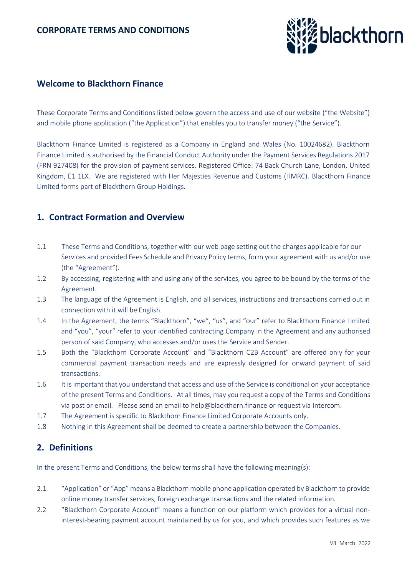

## **Welcome to Blackthorn Finance**

These Corporate Terms and Conditions listed below govern the access and use of our website ("the Website") and mobile phone application ("the Application") that enables you to transfer money ("the Service").

Blackthorn Finance Limited is registered as a Company in England and Wales (No. 10024682). Blackthorn Finance Limited is authorised by the Financial Conduct Authority under the Payment Services Regulations 2017 (FRN 927408) for the provision of payment services. Registered Office: 74 Back Church Lane, London, United Kingdom, E1 1LX. We are registered with Her Majesties Revenue and Customs (HMRC). Blackthorn Finance Limited forms part of Blackthorn Group Holdings.

## **1. Contract Formation and Overview**

- 1.1 These Terms and Conditions, together with our web page setting out the charges applicable for our Services and provided Fees Schedule and Privacy Policy terms, form your agreement with us and/or use (the "Agreement").
- 1.2 By accessing, registering with and using any of the services, you agree to be bound by the terms of the Agreement.
- 1.3 The language of the Agreement is English, and all services, instructions and transactions carried out in connection with it will be English.
- 1.4 In the Agreement, the terms "Blackthorn", "we", "us", and "our" refer to Blackthorn Finance Limited and "you", "your" refer to your identified contracting Company in the Agreement and any authorised person of said Company, who accesses and/or uses the Service and Sender.
- 1.5 Both the "Blackthorn Corporate Account" and "Blackthorn C2B Account" are offered only for your commercial payment transaction needs and are expressly designed for onward payment of said transactions.
- 1.6 It is important that you understand that access and use of the Service is conditional on your acceptance of the present Terms and Conditions. At all times, may you request a copy of the Terms and Conditions via post or email. Please send an email to [help@blackthorn.finance](mailto:help@blackthorn.finance) or request via Intercom.
- 1.7 The Agreement is specific to Blackthorn Finance Limited Corporate Accounts only.
- 1.8 Nothing in this Agreement shall be deemed to create a partnership between the Companies.

# **2. Definitions**

In the present Terms and Conditions, the below terms shall have the following meaning(s):

- 2.1 "Application" or "App" means a Blackthorn mobile phone application operated by Blackthorn to provide online money transfer services, foreign exchange transactions and the related information.
- 2.2 "Blackthorn Corporate Account" means a function on our platform which provides for a virtual noninterest-bearing payment account maintained by us for you, and which provides such features as we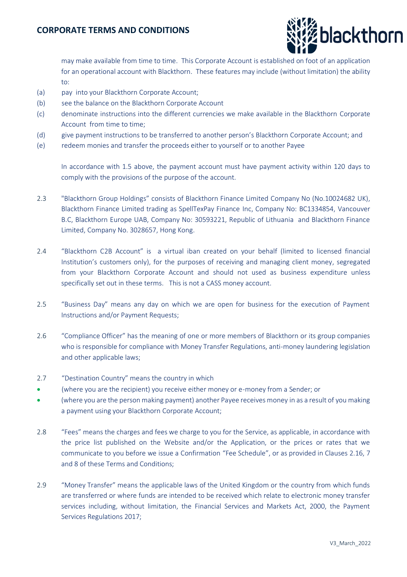

may make available from time to time. This Corporate Account is established on foot of an application for an operational account with Blackthorn. These features may include (without limitation) the ability to:

- (a) pay into your Blackthorn Corporate Account;
- (b) see the balance on the Blackthorn Corporate Account
- (c) denominate instructions into the different currencies we make available in the Blackthorn Corporate Account from time to time;
- (d) give payment instructions to be transferred to another person's Blackthorn Corporate Account; and
- (e) redeem monies and transfer the proceeds either to yourself or to another Payee

In accordance with 1.5 above, the payment account must have payment activity within 120 days to comply with the provisions of the purpose of the account.

- 2.3 "Blackthorn Group Holdings" consists of Blackthorn Finance Limited Company No (No.10024682 UK), Blackthorn Finance Limited trading as SpellTexPay Finance Inc, Company No: BC1334854, Vancouver B.C, Blackthorn Europe UAB, Company No: 30593221, Republic of Lithuania and Blackthorn Finance Limited, Company No. 3028657, Hong Kong.
- 2.4 "Blackthorn C2B Account" is a virtual iban created on your behalf (limited to licensed financial Institution's customers only), for the purposes of receiving and managing client money, segregated from your Blackthorn Corporate Account and should not used as business expenditure unless specifically set out in these terms. This is not a CASS money account.
- 2.5 "Business Day" means any day on which we are open for business for the execution of Payment Instructions and/or Payment Requests;
- 2.6 "Compliance Officer" has the meaning of one or more members of Blackthorn or its group companies who is responsible for compliance with Money Transfer Regulations, anti-money laundering legislation and other applicable laws;
- 2.7 "Destination Country" means the country in which
- (where you are the recipient) you receive either money or e-money from a Sender; or
- (where you are the person making payment) another Payee receives money in as a result of you making a payment using your Blackthorn Corporate Account;
- 2.8 "Fees" means the charges and fees we charge to you for the Service, as applicable, in accordance with the price list published on the Website and/or the Application, or the prices or rates that we communicate to you before we issue a Confirmation "Fee Schedule", or as provided in Clauses 2.16, 7 and 8 of these Terms and Conditions;
- 2.9 "Money Transfer" means the applicable laws of the United Kingdom or the country from which funds are transferred or where funds are intended to be received which relate to electronic money transfer services including, without limitation, the Financial Services and Markets Act, 2000, the Payment Services Regulations 2017;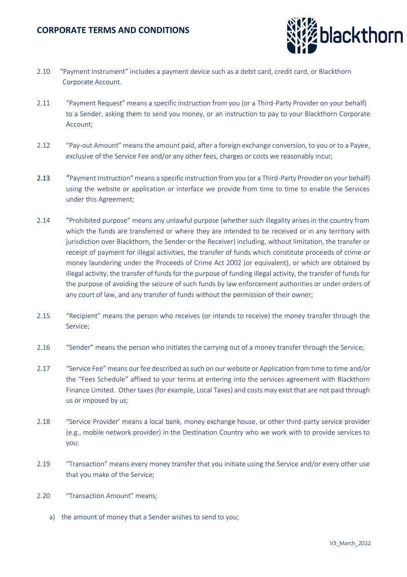

- 2.10 "Payment Instrument" includes a payment device such as a debit card, credit card, or Blackthorn Corporate Account.
- 2.11 "Payment Request" means a specific instruction from you (or a Third-Party Provider on your behalf) to a Sender, asking them to send you money, or an instruction to pay to your Blackthorn Corporate Account;
- 2.12 "Pay-out Amount" means the amount paid, after a foreign exchange conversion, to you or to a Payee, exclusive of the Service Fee and/or any other fees, charges or costs we reasonably incur;
- 2.13 "Payment Instruction" means a specific instruction from you (or a Third-Party Provider on your behalf) using the website or application or interface we provide from time to time to enable the Services under this Agreement;
- 2.14 "Prohibited purpose" means any unlawful purpose (whether such illegality arises in the country from which the funds are transferred or where they are intended to be received or in any territory with jurisdiction over Blackthorn, the Sender or the Receiver) including, without limitation, the transfer or receipt of payment for illegal activities, the transfer of funds which constitute proceeds of crime or money laundering under the Proceeds of Crime Act 2002 (or equivalent), or which are obtained by illegal activity, the transfer of funds for the purpose of funding illegal activity, the transfer of funds for the purpose of avoiding the seizure of such funds by law enforcement authorities or under orders of any court of law, and any transfer of funds without the permission of their owner;
- 2.15 "Recipient" means the person who receives (or intends to receive) the money transfer through the Service;
- 2.16 "Sender" means the person who initiates the carrying out of a money transfer through the Service;
- 2.17 "Service Fee" means our fee described as such on our website or Application from time to time and/or the "Fees Schedule" affixed to your terms at entering into the services agreement with Blackthorn Finance Limited. Other taxes (for example, Local Taxes) and costs may exist that are not paid through us or imposed by us;
- 2.18 "Service Provider' means a local bank, money exchange house, or other third-party service provider (e.g., mobile network provider) in the Destination Country who we work with to provide services to you;
- 2.19 "Transaction" means every money transfer that you initiate using the Service and/or every other use that you make of the Service;
- 2.20 "Transaction Amount" means;
	- a) the amount of money that a Sender wishes to send to you;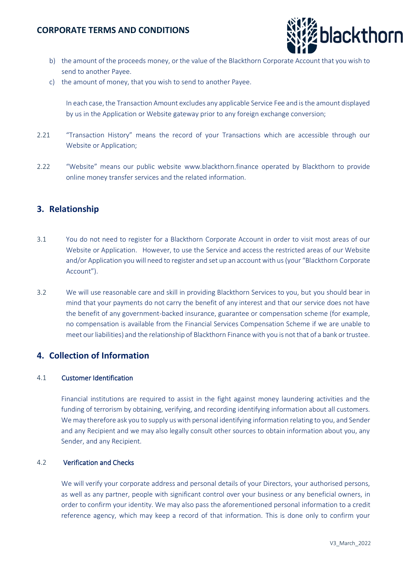

- b) the amount of the proceeds money, or the value of the Blackthorn Corporate Account that you wish to send to another Payee.
- c) the amount of money, that you wish to send to another Payee.

In each case, the Transaction Amount excludes any applicable Service Fee and is the amount displayed by us in the Application or Website gateway prior to any foreign exchange conversion;

- 2.21 "Transaction History" means the record of your Transactions which are accessible through our Website or Application;
- 2.22 "Website" means our public website [www.blackthorn.finance](http://www.blackthorn.finance/) operated by Blackthorn to provide online money transfer services and the related information.

## **3. Relationship**

- 3.1 You do not need to register for a Blackthorn Corporate Account in order to visit most areas of our Website or Application. However, to use the Service and access the restricted areas of our Website and/or Application you will need to register and set up an account with us (your "Blackthorn Corporate Account").
- 3.2 We will use reasonable care and skill in providing Blackthorn Services to you, but you should bear in mind that your payments do not carry the benefit of any interest and that our service does not have the benefit of any government-backed insurance, guarantee or compensation scheme (for example, no compensation is available from the Financial Services Compensation Scheme if we are unable to meet our liabilities) and the relationship of Blackthorn Finance with you is not that of a bank or trustee.

## **4. Collection of Information**

#### 4.1 Customer Identification

Financial institutions are required to assist in the fight against money laundering activities and the funding of terrorism by obtaining, verifying, and recording identifying information about all customers. We may therefore ask you to supply us with personal identifying information relating to you, and Sender and any Recipient and we may also legally consult other sources to obtain information about you, any Sender, and any Recipient.

#### 4.2 Verification and Checks

We will verify your corporate address and personal details of your Directors, your authorised persons, as well as any partner, people with significant control over your business or any beneficial owners, in order to confirm your identity. We may also pass the aforementioned personal information to a credit reference agency, which may keep a record of that information. This is done only to confirm your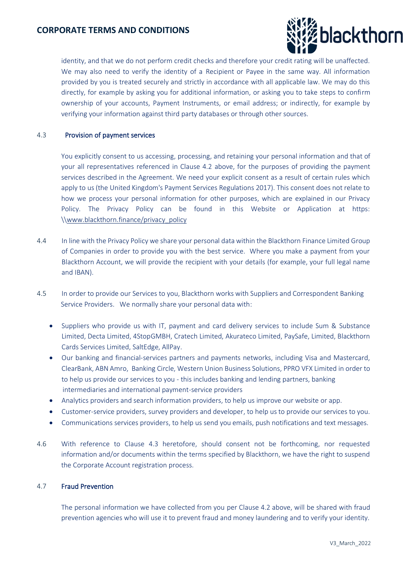

identity, and that we do not perform credit checks and therefore your credit rating will be unaffected. We may also need to verify the identity of a Recipient or Payee in the same way. All information provided by you is treated securely and strictly in accordance with all applicable law. We may do this directly, for example by asking you for additional information, or asking you to take steps to confirm ownership of your accounts, Payment Instruments, or email address; or indirectly, for example by verifying your information against third party databases or through other sources.

#### 4.3 Provision of payment services

You explicitly consent to us accessing, processing, and retaining your personal information and that of your all representatives referenced in Clause 4.2 above, for the purposes of providing the payment services described in the Agreement. We need your explicit consent as a result of certain rules which apply to us (the United Kingdom's Payment Services Regulations 2017). This consent does not relate to how we process your personal information for other purposes, which are explained in our Privacy Policy. The Privacy Policy can be found in this Website or Application at https: \[\www.blackthorn.finance/privacy\\_policy](http://www.blackthorn.finance/privacy_policy)

- 4.4 In line with the Privacy Policy we share your personal data within the Blackthorn Finance Limited Group of Companies in order to provide you with the best service. Where you make a payment from your Blackthorn Account, we will provide the recipient with your details (for example, your full legal name and IBAN).
- 4.5 In order to provide our Services to you, Blackthorn works with Suppliers and Correspondent Banking Service Providers. We normally share your personal data with:
	- Suppliers who provide us with IT, payment and card delivery services to include Sum & Substance Limited, Decta Limited, 4StopGMBH, Cratech Limited, Akurateco Limited, PaySafe, Limited, Blackthorn Cards Services Limited, SaltEdge, AllPay.
	- Our banking and financial-services partners and payments networks, including Visa and Mastercard, ClearBank, ABN Amro, Banking Circle, Western Union Business Solutions, PPRO VFX Limited in order to to help us provide our services to you - this includes banking and lending partners, banking intermediaries and international payment-service providers
	- Analytics providers and search information providers, to help us improve our website or app.
	- Customer-service providers, survey providers and developer, to help us to provide our services to you.
	- Communications services providers, to help us send you emails, push notifications and text messages.
- 4.6 With reference to Clause 4.3 heretofore, should consent not be forthcoming, nor requested information and/or documents within the terms specified by Blackthorn, we have the right to suspend the Corporate Account registration process.

#### 4.7 Fraud Prevention

The personal information we have collected from you per Clause 4.2 above, will be shared with fraud prevention agencies who will use it to prevent fraud and money laundering and to verify your identity.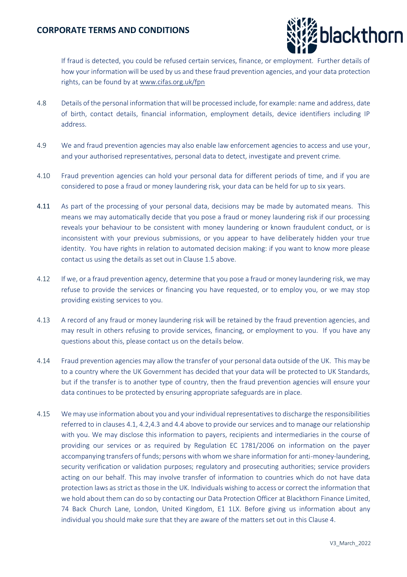

If fraud is detected, you could be refused certain services, finance, or employment. Further details of how your information will be used by us and these fraud prevention agencies, and your data protection rights, can be found by a[t www.cifas.org.uk/fpn](http://www.cifas.org.uk/fpn)

- 4.8 Details of the personal information that will be processed include, for example: name and address, date of birth, contact details, financial information, employment details, device identifiers including IP address.
- 4.9 We and fraud prevention agencies may also enable law enforcement agencies to access and use your, and your authorised representatives, personal data to detect, investigate and prevent crime.
- 4.10 Fraud prevention agencies can hold your personal data for different periods of time, and if you are considered to pose a fraud or money laundering risk, your data can be held for up to six years.
- 4.11 As part of the processing of your personal data, decisions may be made by automated means. This means we may automatically decide that you pose a fraud or money laundering risk if our processing reveals your behaviour to be consistent with money laundering or known fraudulent conduct, or is inconsistent with your previous submissions, or you appear to have deliberately hidden your true identity. You have rights in relation to automated decision making: if you want to know more please contact us using the details as set out in Clause 1.5 above.
- 4.12 If we, or a fraud prevention agency, determine that you pose a fraud or money laundering risk, we may refuse to provide the services or financing you have requested, or to employ you, or we may stop providing existing services to you.
- 4.13 A record of any fraud or money laundering risk will be retained by the fraud prevention agencies, and may result in others refusing to provide services, financing, or employment to you. If you have any questions about this, please contact us on the details below.
- 4.14 Fraud prevention agencies may allow the transfer of your personal data outside of the UK. This may be to a country where the UK Government has decided that your data will be protected to UK Standards, but if the transfer is to another type of country, then the fraud prevention agencies will ensure your data continues to be protected by ensuring appropriate safeguards are in place.
- 4.15 We may use information about you and your individual representatives to discharge the responsibilities referred to in clauses 4.1, 4.2,4.3 and 4.4 above to provide our services and to manage our relationship with you. We may disclose this information to payers, recipients and intermediaries in the course of providing our services or as required by Regulation EC 1781/2006 on information on the payer accompanying transfers of funds; persons with whom we share information for anti-money-laundering, security verification or validation purposes; regulatory and prosecuting authorities; service providers acting on our behalf. This may involve transfer of information to countries which do not have data protection laws as strict as those in the UK. Individuals wishing to access or correct the information that we hold about them can do so by contacting our Data Protection Officer at Blackthorn Finance Limited, 74 Back Church Lane, London, United Kingdom, E1 1LX. Before giving us information about any individual you should make sure that they are aware of the matters set out in this Clause 4.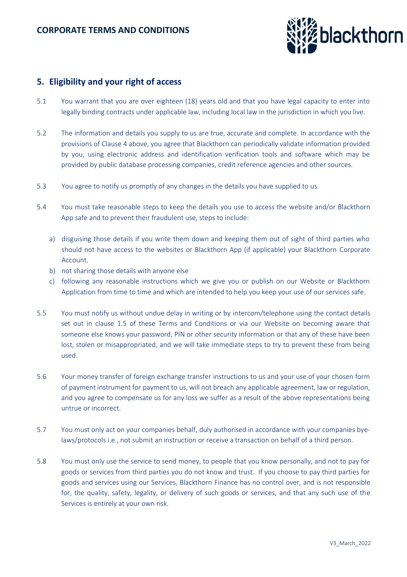

## **5. Eligibility and your right of access**

- 5.1 You warrant that you are over eighteen (18) years old and that you have legal capacity to enter into legally binding contracts under applicable law, including local law in the jurisdiction in which you live.
- 5.2 The information and details you supply to us are true, accurate and complete. In accordance with the provisions of Clause 4 above, you agree that Blackthorn can periodically validate information provided by you, using electronic address and identification verification tools and software which may be provided by public database processing companies, credit reference agencies and other sources.
- 5.3 You agree to notify us promptly of any changes in the details you have supplied to us.
- 5.4 You must take reasonable steps to keep the details you use to access the website and/or Blackthorn App safe and to prevent their fraudulent use, steps to include:
	- a) disguising those details if you write them down and keeping them out of sight of third parties who should not have access to the websites or Blackthorn App (if applicable) your Blackthorn Corporate Account.
	- b) not sharing those details with anyone else
	- c) following any reasonable instructions which we give you or publish on our Website or Blackthorn Application from time to time and which are intended to help you keep your use of our services safe.
- 5.5 You must notify us without undue delay in writing or by intercom/telephone using the contact details set out in clause 1.5 of these Terms and Conditions or via our Website on becoming aware that someone else knows your password, PIN or other security information or that any of these have been lost, stolen or misappropriated, and we will take immediate steps to try to prevent these from being used.
- 5.6 Your money transfer of foreign exchange transfer instructions to us and your use of your chosen form of payment instrument for payment to us, will not breach any applicable agreement, law or regulation, and you agree to compensate us for any loss we suffer as a result of the above representations being untrue or incorrect.
- 5.7 You must only act on your companies behalf, duly authorised in accordance with your companies byelaws/protocols i.e., not submit an instruction or receive a transaction on behalf of a third person.
- 5.8 You must only use the service to send money, to people that you know personally, and not to pay for goods or services from third parties you do not know and trust. If you choose to pay third parties for goods and services using our Services, Blackthorn Finance has no control over, and is not responsible for, the quality, safety, legality, or delivery of such goods or services, and that any such use of the Services is entirely at your own risk.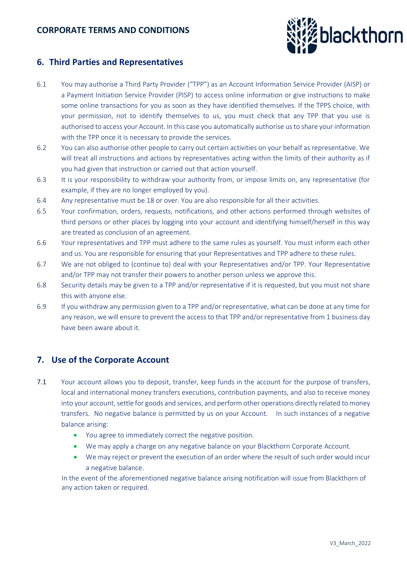

## **6. Third Parties and Representatives**

- 6.1 You may authorise a Third Party Provider ("TPP") as an Account Information Service Provider (AISP) or a Payment Initiation Service Provider (PISP) to access online information or give instructions to make some online transactions for you as soon as they have identified themselves. If the TPPS choice, with your permission, not to identify themselves to us, you must check that any TPP that you use is authorised to access your Account. In this case you automatically authorise us to share your information with the TPP once it is necessary to provide the services.
- 6.2 You can also authorise other people to carry out certain activities on your behalf as representative. We will treat all instructions and actions by representatives acting within the limits of their authority as if you had given that instruction or carried out that action yourself.
- 6.3 It is your responsibility to withdraw your authority from, or impose limits on, any representative (for example, if they are no longer employed by you).
- 6.4 Any representative must be 18 or over. You are also responsible for all their activities.
- 6.5 Your confirmation, orders, requests, notifications, and other actions performed through websites of third persons or other places by logging into your account and identifying himself/herself in this way are treated as conclusion of an agreement.
- 6.6 Your representatives and TPP must adhere to the same rules as yourself. You must inform each other and us. You are responsible for ensuring that your Representatives and TPP adhere to these rules.
- 6.7 We are not obliged to (continue to) deal with your Representatives and/or TPP. Your Representative and/or TPP may not transfer their powers to another person unless we approve this.
- 6.8 Security details may be given to a TPP and/or representative if it is requested, but you must not share this with anyone else.
- 6.9 If you withdraw any permission given to a TPP and/or representative, what can be done at any time for any reason, we will ensure to prevent the access to that TPP and/or representative from 1 business day have been aware about it.

# **7. Use of the Corporate Account**

- 7.1 Your account allows you to deposit, transfer, keep funds in the account for the purpose of transfers, local and international money transfers executions, contribution payments, and also to receive money into your account, settle for goods and services, and perform other operations directly related to money transfers. No negative balance is permitted by us on your Account. In such instances of a negative balance arising:
	- You agree to immediately correct the negative position.
	- We may apply a charge on any negative balance on your Blackthorn Corporate Account.
	- We may reject or prevent the execution of an order where the result of such order would incur a negative balance.

In the event of the aforementioned negative balance arising notification will issue from Blackthorn of any action taken or required.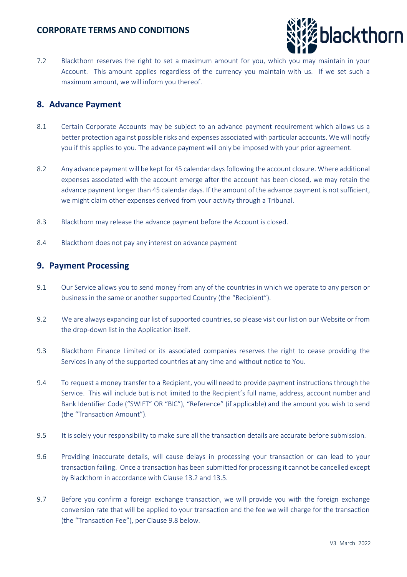

7.2 Blackthorn reserves the right to set a maximum amount for you, which you may maintain in your Account. This amount applies regardless of the currency you maintain with us. If we set such a maximum amount, we will inform you thereof.

## **8. Advance Payment**

- 8.1 Certain Corporate Accounts may be subject to an advance payment requirement which allows us a better protection against possible risks and expenses associated with particular accounts. We will notify you if this applies to you. The advance payment will only be imposed with your prior agreement.
- 8.2 Any advance payment will be kept for 45 calendar days following the account closure. Where additional expenses associated with the account emerge after the account has been closed, we may retain the advance payment longer than 45 calendar days. If the amount of the advance payment is not sufficient, we might claim other expenses derived from your activity through a Tribunal.
- 8.3 Blackthorn may release the advance payment before the Account is closed.
- 8.4 Blackthorn does not pay any interest on advance payment

## **9. Payment Processing**

- 9.1 Our Service allows you to send money from any of the countries in which we operate to any person or business in the same or another supported Country (the "Recipient").
- 9.2 We are always expanding our list of supported countries, so please visit our list on our Website or from the drop-down list in the Application itself.
- 9.3 Blackthorn Finance Limited or its associated companies reserves the right to cease providing the Services in any of the supported countries at any time and without notice to You.
- 9.4 To request a money transfer to a Recipient, you will need to provide payment instructions through the Service. This will include but is not limited to the Recipient's full name, address, account number and Bank Identifier Code ("SWIFT" OR "BIC"), "Reference" (if applicable) and the amount you wish to send (the "Transaction Amount").
- 9.5 It is solely your responsibility to make sure all the transaction details are accurate before submission.
- 9.6 Providing inaccurate details, will cause delays in processing your transaction or can lead to your transaction failing. Once a transaction has been submitted for processing it cannot be cancelled except by Blackthorn in accordance with Clause 13.2 and 13.5.
- 9.7 Before you confirm a foreign exchange transaction, we will provide you with the foreign exchange conversion rate that will be applied to your transaction and the fee we will charge for the transaction (the "Transaction Fee"), per Clause 9.8 below.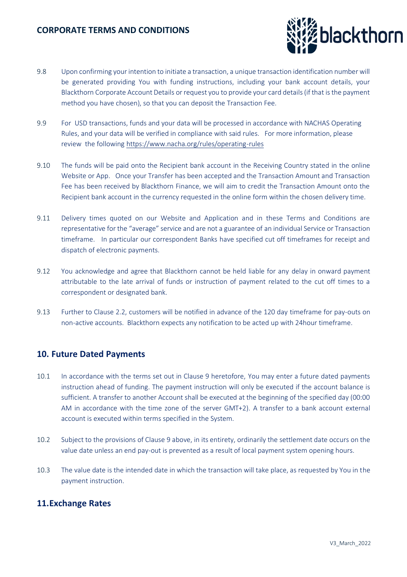

- 9.8 Upon confirming your intention to initiate a transaction, a unique transaction identification number will be generated providing You with funding instructions, including your bank account details, your Blackthorn Corporate Account Details or request you to provide your card details (if that is the payment method you have chosen), so that you can deposit the Transaction Fee.
- 9.9 For USD transactions, funds and your data will be processed in accordance with NACHAS Operating Rules, and your data will be verified in compliance with said rules. For more information, please review the followin[g https://www.nacha.org/rules/operating-rules](https://www.nacha.org/rules/operating-rules)
- 9.10 The funds will be paid onto the Recipient bank account in the Receiving Country stated in the online Website or App. Once your Transfer has been accepted and the Transaction Amount and Transaction Fee has been received by Blackthorn Finance, we will aim to credit the Transaction Amount onto the Recipient bank account in the currency requested in the online form within the chosen delivery time.
- 9.11 Delivery times quoted on our Website and Application and in these Terms and Conditions are representative for the "average" service and are not a guarantee of an individual Service or Transaction timeframe. In particular our correspondent Banks have specified cut off timeframes for receipt and dispatch of electronic payments.
- 9.12 You acknowledge and agree that Blackthorn cannot be held liable for any delay in onward payment attributable to the late arrival of funds or instruction of payment related to the cut off times to a correspondent or designated bank.
- 9.13 Further to Clause 2.2, customers will be notified in advance of the 120 day timeframe for pay-outs on non-active accounts. Blackthorn expects any notification to be acted up with 24hour timeframe.

### **10. Future Dated Payments**

- 10.1 In accordance with the terms set out in Clause 9 heretofore, You may enter a future dated payments instruction ahead of funding. The payment instruction will only be executed if the account balance is sufficient. A transfer to another Account shall be executed at the beginning of the specified day (00:00 AM in accordance with the time zone of the server GMT+2). A transfer to a bank account external account is executed within terms specified in the System.
- 10.2 Subject to the provisions of Clause 9 above, in its entirety, ordinarily the settlement date occurs on the value date unless an end pay-out is prevented as a result of local payment system opening hours.
- 10.3 The value date is the intended date in which the transaction will take place, as requested by You in the payment instruction.

### **11.Exchange Rates**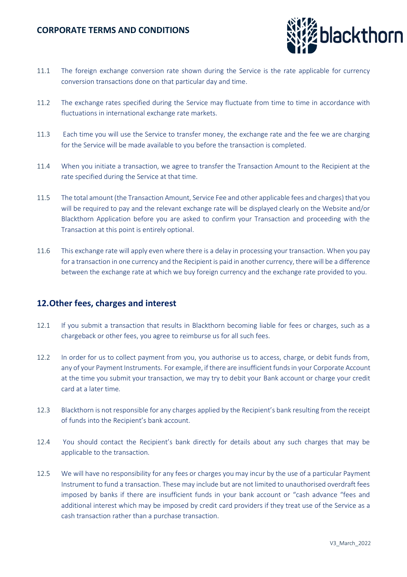

- 11.1 The foreign exchange conversion rate shown during the Service is the rate applicable for currency conversion transactions done on that particular day and time.
- 11.2 The exchange rates specified during the Service may fluctuate from time to time in accordance with fluctuations in international exchange rate markets.
- 11.3 Each time you will use the Service to transfer money, the exchange rate and the fee we are charging for the Service will be made available to you before the transaction is completed.
- 11.4 When you initiate a transaction, we agree to transfer the Transaction Amount to the Recipient at the rate specified during the Service at that time.
- 11.5 The total amount (the Transaction Amount, Service Fee and other applicable fees and charges) that you will be required to pay and the relevant exchange rate will be displayed clearly on the Website and/or Blackthorn Application before you are asked to confirm your Transaction and proceeding with the Transaction at this point is entirely optional.
- 11.6 This exchange rate will apply even where there is a delay in processing your transaction. When you pay for a transaction in one currency and the Recipient is paid in another currency, there will be a difference between the exchange rate at which we buy foreign currency and the exchange rate provided to you.

### **12.Other fees, charges and interest**

- 12.1 If you submit a transaction that results in Blackthorn becoming liable for fees or charges, such as a chargeback or other fees, you agree to reimburse us for all such fees.
- 12.2 In order for us to collect payment from you, you authorise us to access, charge, or debit funds from, any of your Payment Instruments. For example, if there are insufficient funds in your Corporate Account at the time you submit your transaction, we may try to debit your Bank account or charge your credit card at a later time.
- 12.3 Blackthorn is not responsible for any charges applied by the Recipient's bank resulting from the receipt of funds into the Recipient's bank account.
- 12.4 You should contact the Recipient's bank directly for details about any such charges that may be applicable to the transaction.
- 12.5 We will have no responsibility for any fees or charges you may incur by the use of a particular Payment Instrument to fund a transaction. These may include but are not limited to unauthorised overdraft fees imposed by banks if there are insufficient funds in your bank account or "cash advance "fees and additional interest which may be imposed by credit card providers if they treat use of the Service as a cash transaction rather than a purchase transaction.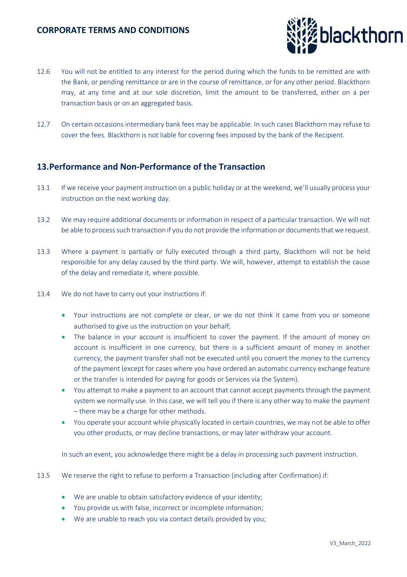

- 12.6 You will not be entitled to any interest for the period during which the funds to be remitted are with the Bank, or pending remittance or are in the course of remittance, or for any other period. Blackthorn may, at any time and at our sole discretion, limit the amount to be transferred, either on a per transaction basis or on an aggregated basis.
- 12.7 On certain occasions intermediary bank fees may be applicable. In such cases Blackthorn may refuse to cover the fees. Blackthorn is not liable for covering fees imposed by the bank of the Recipient.

## **13.Performance and Non-Performance of the Transaction**

- 13.1 If we receive your payment instruction on a public holiday or at the weekend, we'll usually process your instruction on the next working day.
- 13.2 We may require additional documents or information in respect of a particular transaction. We will not be able to process such transaction if you do not provide the information or documents that we request.
- 13.3 Where a payment is partially or fully executed through a third party, Blackthorn will not be held responsible for any delay caused by the third party. We will, however, attempt to establish the cause of the delay and remediate it, where possible.
- 13.4 We do not have to carry out your instructions if:
	- Your instructions are not complete or clear, or we do not think it came from you or someone authorised to give us the instruction on your behalf;
	- The balance in your account is insufficient to cover the payment. If the amount of money on account is insufficient in one currency, but there is a sufficient amount of money in another currency, the payment transfer shall not be executed until you convert the money to the currency of the payment (except for cases where you have ordered an automatic currency exchange feature or the transfer is intended for paying for goods or Services via the System).
	- You attempt to make a payment to an account that cannot accept payments through the payment system we normally use. In this case, we will tell you if there is any other way to make the payment – there may be a charge for other methods.
	- You operate your account while physically located in certain countries, we may not be able to offer you other products, or may decline transactions, or may later withdraw your account.

In such an event, you acknowledge there might be a delay in processing such payment instruction.

- 13.5 We reserve the right to refuse to perform a Transaction (including after Confirmation) if:
	- We are unable to obtain satisfactory evidence of your identity;
	- You provide us with false, incorrect or incomplete information;
	- We are unable to reach you via contact details provided by you;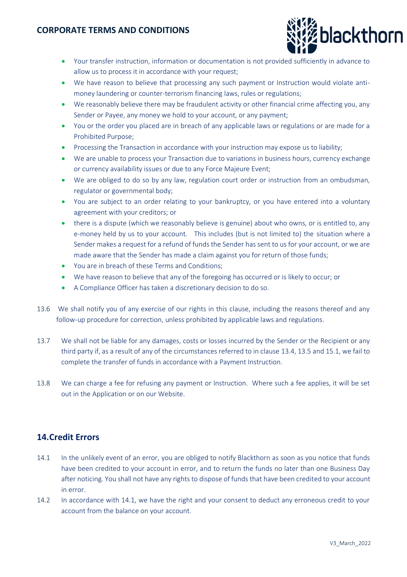

- Your transfer instruction, information or documentation is not provided sufficiently in advance to allow us to process it in accordance with your request;
- We have reason to believe that processing any such payment or Instruction would violate antimoney laundering or counter-terrorism financing laws, rules or regulations;
- We reasonably believe there may be fraudulent activity or other financial crime affecting you, any Sender or Payee, any money we hold to your account, or any payment;
- You or the order you placed are in breach of any applicable laws or regulations or are made for a Prohibited Purpose;
- Processing the Transaction in accordance with your instruction may expose us to liability;
- We are unable to process your Transaction due to variations in business hours, currency exchange or currency availability issues or due to any Force Majeure Event;
- We are obliged to do so by any law, regulation court order or instruction from an ombudsman, regulator or governmental body;
- You are subject to an order relating to your bankruptcy, or you have entered into a voluntary agreement with your creditors; or
- there is a dispute (which we reasonably believe is genuine) about who owns, or is entitled to, any e-money held by us to your account. This includes (but is not limited to) the situation where a Sender makes a request for a refund of funds the Sender has sent to us for your account, or we are made aware that the Sender has made a claim against you for return of those funds;
- You are in breach of these Terms and Conditions;
- We have reason to believe that any of the foregoing has occurred or is likely to occur; or
- A Compliance Officer has taken a discretionary decision to do so.
- 13.6 We shall notify you of any exercise of our rights in this clause, including the reasons thereof and any follow-up procedure for correction, unless prohibited by applicable laws and regulations.
- 13.7 We shall not be liable for any damages, costs or losses incurred by the Sender or the Recipient or any third party if, as a result of any of the circumstances referred to in clause 13.4, 13.5 and 15.1, we fail to complete the transfer of funds in accordance with a Payment Instruction.
- 13.8 We can charge a fee for refusing any payment or Instruction. Where such a fee applies, it will be set out in the Application or on our Website.

### **14.Credit Errors**

- 14.1 In the unlikely event of an error, you are obliged to notify Blackthorn as soon as you notice that funds have been credited to your account in error, and to return the funds no later than one Business Day after noticing. You shall not have any rights to dispose of funds that have been credited to your account in error.
- 14.2 In accordance with 14.1, we have the right and your consent to deduct any erroneous credit to your account from the balance on your account.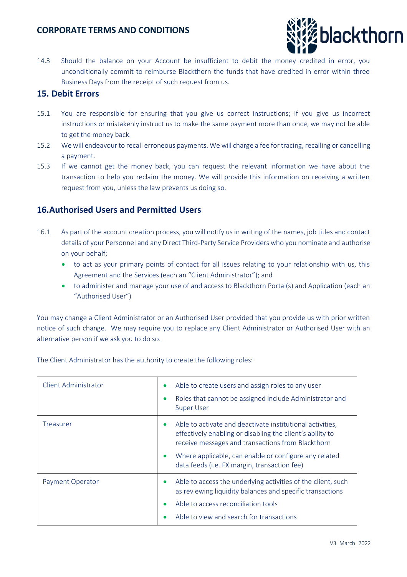

14.3 Should the balance on your Account be insufficient to debit the money credited in error, you unconditionally commit to reimburse Blackthorn the funds that have credited in error within three Business Days from the receipt of such request from us.

#### **15. Debit Errors**

- 15.1 You are responsible for ensuring that you give us correct instructions; if you give us incorrect instructions or mistakenly instruct us to make the same payment more than once, we may not be able to get the money back.
- 15.2 We will endeavour to recall erroneous payments. We will charge a fee for tracing, recalling or cancelling a payment.
- 15.3 If we cannot get the money back, you can request the relevant information we have about the transaction to help you reclaim the money. We will provide this information on receiving a written request from you, unless the law prevents us doing so.

### **16.Authorised Users and Permitted Users**

- 16.1 As part of the account creation process, you will notify us in writing of the names, job titles and contact details of your Personnel and any Direct Third-Party Service Providers who you nominate and authorise on your behalf;
	- to act as your primary points of contact for all issues relating to your relationship with us, this Agreement and the Services (each an "Client Administrator"); and
	- to administer and manage your use of and access to Blackthorn Portal(s) and Application (each an "Authorised User")

You may change a Client Administrator or an Authorised User provided that you provide us with prior written notice of such change. We may require you to replace any Client Administrator or Authorised User with an alternative person if we ask you to do so.

| <b>Client Administrator</b> | Able to create users and assign roles to any user<br>$\bullet$<br>Roles that cannot be assigned include Administrator and<br><b>Super User</b>                                                                                                                                                    |
|-----------------------------|---------------------------------------------------------------------------------------------------------------------------------------------------------------------------------------------------------------------------------------------------------------------------------------------------|
| Treasurer                   | Able to activate and deactivate institutional activities,<br>effectively enabling or disabling the client's ability to<br>receive messages and transactions from Blackthorn<br>Where applicable, can enable or configure any related<br>$\bullet$<br>data feeds (i.e. FX margin, transaction fee) |
| Payment Operator            | Able to access the underlying activities of the client, such<br>as reviewing liquidity balances and specific transactions<br>Able to access reconciliation tools<br>Able to view and search for transactions                                                                                      |

The Client Administrator has the authority to create the following roles: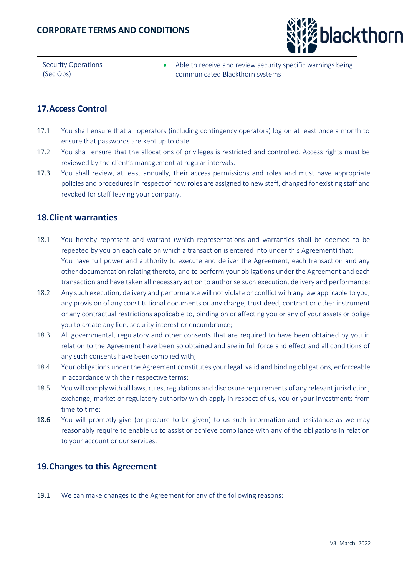

| Security Operations | Able to receive and review security specific warnings being |
|---------------------|-------------------------------------------------------------|
| (Sec Ops)           | communicated Blackthorn systems                             |

## **17.Access Control**

- 17.1 You shall ensure that all operators (including contingency operators) log on at least once a month to ensure that passwords are kept up to date.
- 17.2 You shall ensure that the allocations of privileges is restricted and controlled. Access rights must be reviewed by the client's management at regular intervals.
- 17.3 You shall review, at least annually, their access permissions and roles and must have appropriate policies and procedures in respect of how roles are assigned to new staff, changed for existing staff and revoked for staff leaving your company.

## **18.Client warranties**

- 18.1 You hereby represent and warrant (which representations and warranties shall be deemed to be repeated by you on each date on which a transaction is entered into under this Agreement) that: You have full power and authority to execute and deliver the Agreement, each transaction and any other documentation relating thereto, and to perform your obligations under the Agreement and each transaction and have taken all necessary action to authorise such execution, delivery and performance;
- 18.2 Any such execution, delivery and performance will not violate or conflict with any law applicable to you, any provision of any constitutional documents or any charge, trust deed, contract or other instrument or any contractual restrictions applicable to, binding on or affecting you or any of your assets or oblige you to create any lien, security interest or encumbrance;
- 18.3 All governmental, regulatory and other consents that are required to have been obtained by you in relation to the Agreement have been so obtained and are in full force and effect and all conditions of any such consents have been complied with;
- 18.4 Your obligations under the Agreement constitutes your legal, valid and binding obligations, enforceable in accordance with their respective terms;
- 18.5 You will comply with all laws, rules, regulations and disclosure requirements of any relevant jurisdiction, exchange, market or regulatory authority which apply in respect of us, you or your investments from time to time;
- 18.6 You will promptly give (or procure to be given) to us such information and assistance as we may reasonably require to enable us to assist or achieve compliance with any of the obligations in relation to your account or our services;

### **19.Changes to this Agreement**

19.1 We can make changes to the Agreement for any of the following reasons: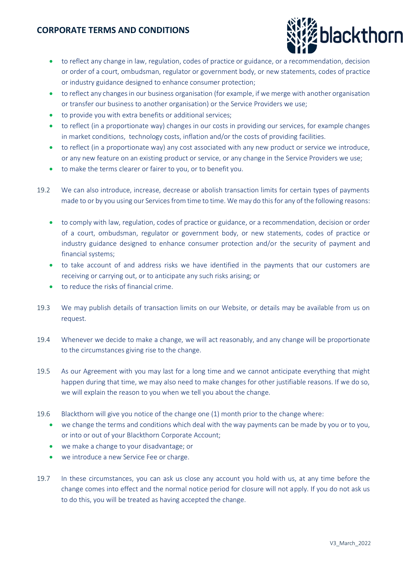

- to reflect any change in law, regulation, codes of practice or guidance, or a recommendation, decision or order of a court, ombudsman, regulator or government body, or new statements, codes of practice or industry guidance designed to enhance consumer protection;
- to reflect any changes in our business organisation (for example, if we merge with another organisation or transfer our business to another organisation) or the Service Providers we use;
- to provide you with extra benefits or additional services;
- to reflect (in a proportionate way) changes in our costs in providing our services, for example changes in market conditions, technology costs, inflation and/or the costs of providing facilities.
- to reflect (in a proportionate way) any cost associated with any new product or service we introduce, or any new feature on an existing product or service, or any change in the Service Providers we use;
- to make the terms clearer or fairer to you, or to benefit you.
- 19.2 We can also introduce, increase, decrease or abolish transaction limits for certain types of payments made to or by you using our Services from time to time. We may do this for any of the following reasons:
	- to comply with law, regulation, codes of practice or guidance, or a recommendation, decision or order of a court, ombudsman, regulator or government body, or new statements, codes of practice or industry guidance designed to enhance consumer protection and/or the security of payment and financial systems;
	- to take account of and address risks we have identified in the payments that our customers are receiving or carrying out, or to anticipate any such risks arising; or
	- to reduce the risks of financial crime.
- 19.3 We may publish details of transaction limits on our Website, or details may be available from us on request.
- 19.4 Whenever we decide to make a change, we will act reasonably, and any change will be proportionate to the circumstances giving rise to the change.
- 19.5 As our Agreement with you may last for a long time and we cannot anticipate everything that might happen during that time, we may also need to make changes for other justifiable reasons. If we do so, we will explain the reason to you when we tell you about the change.
- 19.6 Blackthorn will give you notice of the change one (1) month prior to the change where:
	- we change the terms and conditions which deal with the way payments can be made by you or to you, or into or out of your Blackthorn Corporate Account;
	- we make a change to your disadvantage; or
	- we introduce a new Service Fee or charge.
- 19.7 In these circumstances, you can ask us close any account you hold with us, at any time before the change comes into effect and the normal notice period for closure will not apply. If you do not ask us to do this, you will be treated as having accepted the change.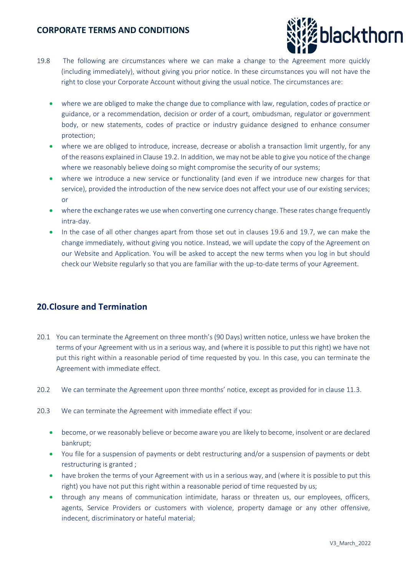

- 19.8 The following are circumstances where we can make a change to the Agreement more quickly (including immediately), without giving you prior notice. In these circumstances you will not have the right to close your Corporate Account without giving the usual notice. The circumstances are:
	- where we are obliged to make the change due to compliance with law, regulation, codes of practice or guidance, or a recommendation, decision or order of a court, ombudsman, regulator or government body, or new statements, codes of practice or industry guidance designed to enhance consumer protection;
	- where we are obliged to introduce, increase, decrease or abolish a transaction limit urgently, for any of the reasons explained in Clause 19.2. In addition, we may not be able to give you notice of the change where we reasonably believe doing so might compromise the security of our systems;
	- where we introduce a new service or functionality (and even if we introduce new charges for that service), provided the introduction of the new service does not affect your use of our existing services; or
	- where the exchange rates we use when converting one currency change. These rates change frequently intra-day.
	- In the case of all other changes apart from those set out in clauses 19.6 and 19.7, we can make the change immediately, without giving you notice. Instead, we will update the copy of the Agreement on our Website and Application. You will be asked to accept the new terms when you log in but should check our Website regularly so that you are familiar with the up-to-date terms of your Agreement.

# **20.Closure and Termination**

- 20.1 You can terminate the Agreement on three month's (90 Days) written notice, unless we have broken the terms of your Agreement with us in a serious way, and (where it is possible to put this right) we have not put this right within a reasonable period of time requested by you. In this case, you can terminate the Agreement with immediate effect.
- 20.2 We can terminate the Agreement upon three months' notice, except as provided for in clause 11.3.
- 20.3 We can terminate the Agreement with immediate effect if you:
	- become, or we reasonably believe or become aware you are likely to become, insolvent or are declared bankrupt;
	- You file for a suspension of payments or debt restructuring and/or a suspension of payments or debt restructuring is granted ;
	- have broken the terms of your Agreement with us in a serious way, and (where it is possible to put this right) you have not put this right within a reasonable period of time requested by us;
	- through any means of communication intimidate, harass or threaten us, our employees, officers, agents, Service Providers or customers with violence, property damage or any other offensive, indecent, discriminatory or hateful material;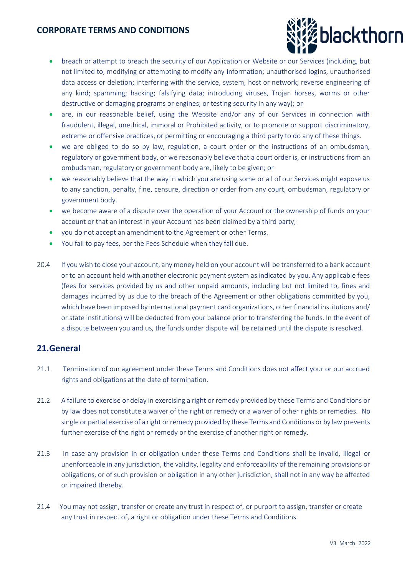

- breach or attempt to breach the security of our Application or Website or our Services (including, but not limited to, modifying or attempting to modify any information; unauthorised logins, unauthorised data access or deletion; interfering with the service, system, host or network; reverse engineering of any kind; spamming; hacking; falsifying data; introducing viruses, Trojan horses, worms or other destructive or damaging programs or engines; or testing security in any way); or
- are, in our reasonable belief, using the Website and/or any of our Services in connection with fraudulent, illegal, unethical, immoral or Prohibited activity, or to promote or support discriminatory, extreme or offensive practices, or permitting or encouraging a third party to do any of these things.
- we are obliged to do so by law, regulation, a court order or the instructions of an ombudsman, regulatory or government body, or we reasonably believe that a court order is, or instructions from an ombudsman, regulatory or government body are, likely to be given; or
- we reasonably believe that the way in which you are using some or all of our Services might expose us to any sanction, penalty, fine, censure, direction or order from any court, ombudsman, regulatory or government body.
- we become aware of a dispute over the operation of your Account or the ownership of funds on your account or that an interest in your Account has been claimed by a third party;
- you do not accept an amendment to the Agreement or other Terms.
- You fail to pay fees, per the Fees Schedule when they fall due.
- 20.4 If you wish to close your account, any money held on your account will be transferred to a bank account or to an account held with another electronic payment system as indicated by you. Any applicable fees (fees for services provided by us and other unpaid amounts, including but not limited to, fines and damages incurred by us due to the breach of the Agreement or other obligations committed by you, which have been imposed by international payment card organizations, other financial institutions and/ or state institutions) will be deducted from your balance prior to transferring the funds. In the event of a dispute between you and us, the funds under dispute will be retained until the dispute is resolved.

### **21.General**

- 21.1 Termination of our agreement under these Terms and Conditions does not affect your or our accrued rights and obligations at the date of termination.
- 21.2 A failure to exercise or delay in exercising a right or remedy provided by these Terms and Conditions or by law does not constitute a waiver of the right or remedy or a waiver of other rights or remedies. No single or partial exercise of a right or remedy provided by these Terms and Conditions or by law prevents further exercise of the right or remedy or the exercise of another right or remedy.
- 21.3 In case any provision in or obligation under these Terms and Conditions shall be invalid, illegal or unenforceable in any jurisdiction, the validity, legality and enforceability of the remaining provisions or obligations, or of such provision or obligation in any other jurisdiction, shall not in any way be affected or impaired thereby.
- 21.4 You may not assign, transfer or create any trust in respect of, or purport to assign, transfer or create any trust in respect of, a right or obligation under these Terms and Conditions.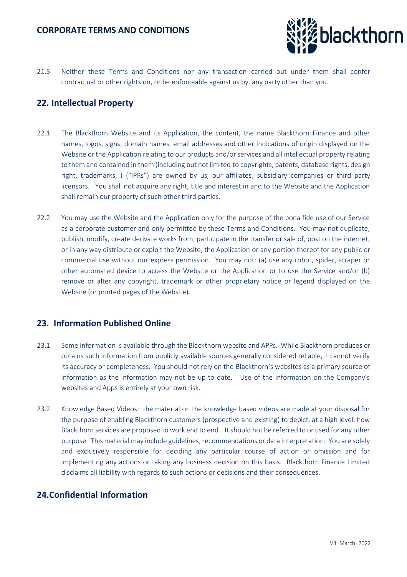

21.5 Neither these Terms and Conditions nor any transaction carried out under them shall confer contractual or other rights on, or be enforceable against us by, any party other than you.

# **22. Intellectual Property**

- 22.1 The Blackthorn Website and its Application, the content, the name Blackthorn Finance and other names, logos, signs, domain names, email addresses and other indications of origin displayed on the Website or the Application relating to our products and/or services and all intellectual property relating to them and contained in them (including but not limited to copyrights, patents, database rights, design right, trademarks, ) ("IPRs") are owned by us, our affiliates, subsidiary companies or third party licensors. You shall not acquire any right, title and interest in and to the Website and the Application shall remain our property of such other third parties.
- 22.2 You may use the Website and the Application only for the purpose of the bona fide use of our Service as a corporate customer and only permitted by these Terms and Conditions. You may not duplicate, publish, modify, create derivate works from, participate in the transfer or sale of, post on the internet, or in any way distribute or exploit the Website, the Application or any portion thereof for any public or commercial use without our express permission. You may not: (a) use any robot, spider, scraper or other automated device to access the Website or the Application or to use the Service and/or (b) remove or alter any copyright, trademark or other proprietary notice or legend displayed on the Website (or printed pages of the Website).

### **23. Information Published Online**

- 23.1 Some information is available through the Blackthorn website and APPs. While Blackthorn produces or obtains such information from publicly available sources generally considered reliable, it cannot verify its accuracy or completeness. You should not rely on the Blackthorn's websites as a primary source of information as the information may not be up to date. Use of the information on the Company's websites and Apps is entirely at your own risk.
- 23.2 Knowledge Based Videos: the material on the knowledge based videos are made at your disposal for the purpose of enabling Blackthorn customers (prospective and existing) to depict, at a high level, how Blackthorn services are proposed to work end to end. It should not be referred to or used for any other purpose. This material may include guidelines, recommendations or data interpretation. You are solely and exclusively responsible for deciding any particular course of action or omission and for implementing any actions or taking any business decision on this basis. Blackthorn Finance Limited disclaims all liability with regards to such actions or decisions and their consequences.

## **24.Confidential Information**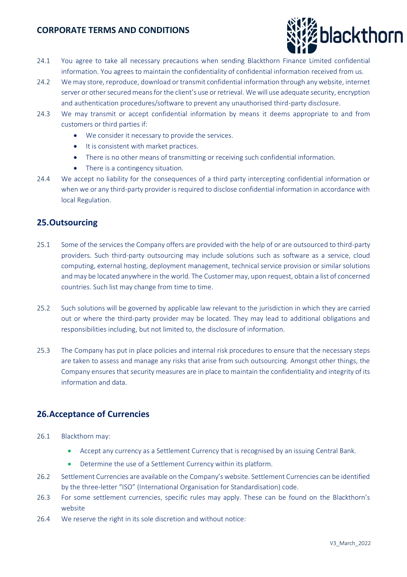

- 24.1 You agree to take all necessary precautions when sending Blackthorn Finance Limited confidential information. You agrees to maintain the confidentiality of confidential information received from us.
- 24.2 We may store, reproduce, download or transmit confidential information through any website, internet server or other secured means for the client's use or retrieval. We will use adequate security, encryption and authentication procedures/software to prevent any unauthorised third-party disclosure.
- 24.3 We may transmit or accept confidential information by means it deems appropriate to and from customers or third parties if:
	- We consider it necessary to provide the services.
	- It is consistent with market practices.
	- There is no other means of transmitting or receiving such confidential information.
	- There is a contingency situation.
- 24.4 We accept no liability for the consequences of a third party intercepting confidential information or when we or any third-party provider is required to disclose confidential information in accordance with local Regulation.

### **25.Outsourcing**

- 25.1 Some of the services the Company offers are provided with the help of or are outsourced to third-party providers. Such third-party outsourcing may include solutions such as software as a service, cloud computing, external hosting, deployment management, technical service provision or similar solutions and may be located anywhere in the world. The Customer may, upon request, obtain a list of concerned countries. Such list may change from time to time.
- 25.2 Such solutions will be governed by applicable law relevant to the jurisdiction in which they are carried out or where the third-party provider may be located. They may lead to additional obligations and responsibilities including, but not limited to, the disclosure of information.
- 25.3 The Company has put in place policies and internal risk procedures to ensure that the necessary steps are taken to assess and manage any risks that arise from such outsourcing. Amongst other things, the Company ensures that security measures are in place to maintain the confidentiality and integrity of its information and data.

### **26.Acceptance of Currencies**

- 26.1 Blackthorn may:
	- Accept any currency as a Settlement Currency that is recognised by an issuing Central Bank.
	- Determine the use of a Settlement Currency within its platform.
- 26.2 Settlement Currencies are available on the Company's website. Settlement Currencies can be identified by the three-letter "ISO" (International Organisation for Standardisation) code.
- 26.3 For some settlement currencies, specific rules may apply. These can be found on the Blackthorn's website
- 26.4 We reserve the right in its sole discretion and without notice: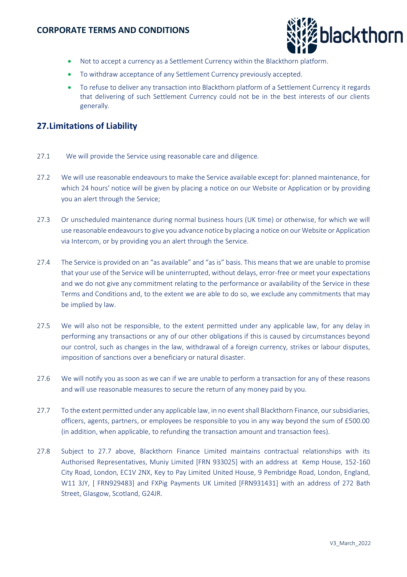

- Not to accept a currency as a Settlement Currency within the Blackthorn platform.
- To withdraw acceptance of any Settlement Currency previously accepted.
- To refuse to deliver any transaction into Blackthorn platform of a Settlement Currency it regards that delivering of such Settlement Currency could not be in the best interests of our clients generally.

### **27.Limitations of Liability**

- 27.1 We will provide the Service using reasonable care and diligence.
- 27.2 We will use reasonable endeavours to make the Service available except for: planned maintenance, for which 24 hours' notice will be given by placing a notice on our Website or Application or by providing you an alert through the Service;
- 27.3 Or unscheduled maintenance during normal business hours (UK time) or otherwise, for which we will use reasonable endeavours to give you advance notice by placing a notice on our Website or Application via Intercom, or by providing you an alert through the Service.
- 27.4 The Service is provided on an "as available" and "as is" basis. This means that we are unable to promise that your use of the Service will be uninterrupted, without delays, error-free or meet your expectations and we do not give any commitment relating to the performance or availability of the Service in these Terms and Conditions and, to the extent we are able to do so, we exclude any commitments that may be implied by law.
- 27.5 We will also not be responsible, to the extent permitted under any applicable law, for any delay in performing any transactions or any of our other obligations if this is caused by circumstances beyond our control, such as changes in the law, withdrawal of a foreign currency, strikes or labour disputes, imposition of sanctions over a beneficiary or natural disaster.
- 27.6 We will notify you as soon as we can if we are unable to perform a transaction for any of these reasons and will use reasonable measures to secure the return of any money paid by you.
- 27.7 To the extent permitted under any applicable law, in no event shall Blackthorn Finance, our subsidiaries, officers, agents, partners, or employees be responsible to you in any way beyond the sum of £500.00 (in addition, when applicable, to refunding the transaction amount and transaction fees).
- 27.8 Subject to 27.7 above, Blackthorn Finance Limited maintains contractual relationships with its Authorised Representatives, Muniy Limited [FRN 933025] with an address at Kemp House, 152-160 City Road, London, EC1V 2NX, Key to Pay Limited United House, 9 Pembridge Road, London, England, W11 3JY, [ FRN929483] and FXPig Payments UK Limited [FRN931431] with an address of 272 Bath Street, Glasgow, Scotland, G24JR.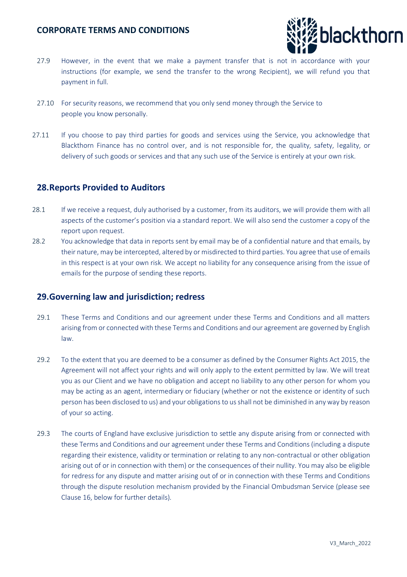

- 27.9 However, in the event that we make a payment transfer that is not in accordance with your instructions (for example, we send the transfer to the wrong Recipient), we will refund you that payment in full.
- 27.10 For security reasons, we recommend that you only send money through the Service to people you know personally.
- 27.11 If you choose to pay third parties for goods and services using the Service, you acknowledge that Blackthorn Finance has no control over, and is not responsible for, the quality, safety, legality, or delivery of such goods or services and that any such use of the Service is entirely at your own risk.

#### **28.Reports Provided to Auditors**

- 28.1 If we receive a request, duly authorised by a customer, from its auditors, we will provide them with all aspects of the customer's position via a standard report. We will also send the customer a copy of the report upon request.
- 28.2 You acknowledge that data in reports sent by email may be of a confidential nature and that emails, by their nature, may be intercepted, altered by or misdirected to third parties. You agree that use of emails in this respect is at your own risk. We accept no liability for any consequence arising from the issue of emails for the purpose of sending these reports.

#### **29.Governing law and jurisdiction; redress**

- 29.1 These Terms and Conditions and our agreement under these Terms and Conditions and all matters arising from or connected with these Terms and Conditions and our agreement are governed by English law.
- 29.2 To the extent that you are deemed to be a consumer as defined by the Consumer Rights Act 2015, the Agreement will not affect your rights and will only apply to the extent permitted by law. We will treat you as our Client and we have no obligation and accept no liability to any other person for whom you may be acting as an agent, intermediary or fiduciary (whether or not the existence or identity of such person has been disclosed to us) and your obligations to us shall not be diminished in any way by reason of your so acting.
- 29.3 The courts of England have exclusive jurisdiction to settle any dispute arising from or connected with these Terms and Conditions and our agreement under these Terms and Conditions (including a dispute regarding their existence, validity or termination or relating to any non-contractual or other obligation arising out of or in connection with them) or the consequences of their nullity. You may also be eligible for redress for any dispute and matter arising out of or in connection with these Terms and Conditions through the dispute resolution mechanism provided by the Financial Ombudsman Service (please see Clause 16, below for further details).